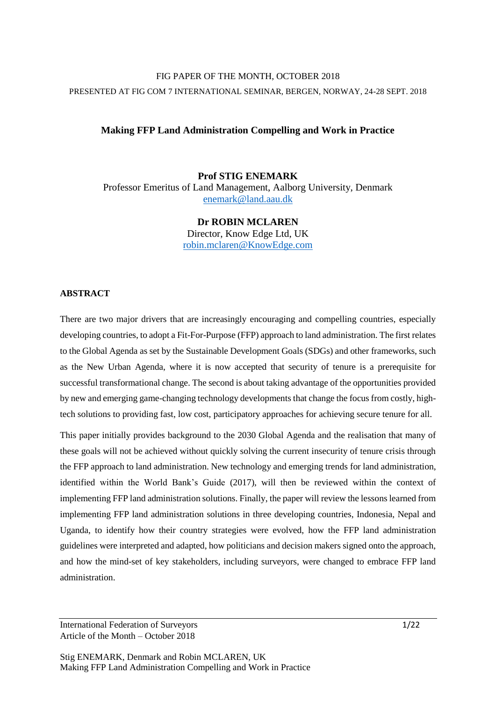# FIG PAPER OF THE MONTH, OCTOBER 2018 PRESENTED AT FIG COM 7 INTERNATIONAL SEMINAR, BERGEN, NORWAY, 24-28 SEPT. 2018

# **Making FFP Land Administration Compelling and Work in Practice**

**Prof STIG ENEMARK** Professor Emeritus of Land Management, Aalborg University, Denmark [enemark@land.aau.dk](mailto:enemark@land.aau.dk)

> **Dr ROBIN MCLAREN** Director, Know Edge Ltd, UK [robin.mclaren@KnowEdge.com](mailto:robin.mclaren@KnowEdge.com)

## **ABSTRACT**

There are two major drivers that are increasingly encouraging and compelling countries, especially developing countries, to adopt a Fit-For-Purpose (FFP) approach to land administration. The first relates to the Global Agenda as set by the Sustainable Development Goals (SDGs) and other frameworks, such as the New Urban Agenda, where it is now accepted that security of tenure is a prerequisite for successful transformational change. The second is about taking advantage of the opportunities provided by new and emerging game-changing technology developments that change the focus from costly, hightech solutions to providing fast, low cost, participatory approaches for achieving secure tenure for all.

This paper initially provides background to the 2030 Global Agenda and the realisation that many of these goals will not be achieved without quickly solving the current insecurity of tenure crisis through the FFP approach to land administration. New technology and emerging trends for land administration, identified within the World Bank's Guide (2017), will then be reviewed within the context of implementing FFP land administration solutions. Finally, the paper will review the lessons learned from implementing FFP land administration solutions in three developing countries, Indonesia, Nepal and Uganda, to identify how their country strategies were evolved, how the FFP land administration guidelines were interpreted and adapted, how politicians and decision makers signed onto the approach, and how the mind-set of key stakeholders, including surveyors, were changed to embrace FFP land administration.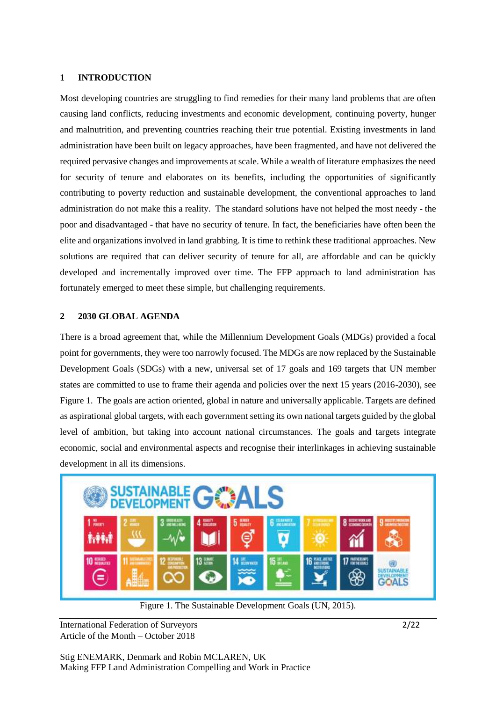#### **1 INTRODUCTION**

Most developing countries are struggling to find remedies for their many land problems that are often causing land conflicts, reducing investments and economic development, continuing poverty, hunger and malnutrition, and preventing countries reaching their true potential. Existing investments in land administration have been built on legacy approaches, have been fragmented, and have not delivered the required pervasive changes and improvements at scale. While a wealth of literature emphasizes the need for security of tenure and elaborates on its benefits, including the opportunities of significantly contributing to poverty reduction and sustainable development, the conventional approaches to land administration do not make this a reality. The standard solutions have not helped the most needy - the poor and disadvantaged - that have no security of tenure. In fact, the beneficiaries have often been the elite and organizations involved in land grabbing. It is time to rethink these traditional approaches. New solutions are required that can deliver security of tenure for all, are affordable and can be quickly developed and incrementally improved over time. The FFP approach to land administration has fortunately emerged to meet these simple, but challenging requirements.

### **2 2030 GLOBAL AGENDA**

There is a broad agreement that, while the Millennium Development Goals (MDGs) provided a focal point for governments, they were too narrowly focused. The MDGs are now replaced by the Sustainable Development Goals (SDGs) with a new, universal set of 17 goals and 169 targets that UN member states are committed to use to frame their agenda and policies over the next 15 years (2016-2030), see Figure 1. The goals are action oriented, global in nature and universally applicable. Targets are defined as aspirational global targets, with each government setting its own national targets guided by the global level of ambition, but taking into account national circumstances. The goals and targets integrate economic, social and environmental aspects and recognise their interlinkages in achieving sustainable development in all its dimensions.



Figure 1. The Sustainable Development Goals (UN, 2015).

International Federation of Surveyors 2/22 Article of the Month – October 2018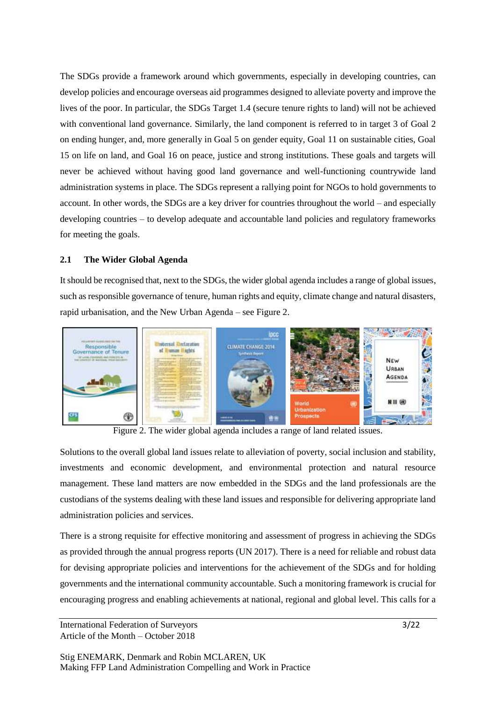The SDGs provide a framework around which governments, especially in developing countries, can develop policies and encourage overseas aid programmes designed to alleviate poverty and improve the lives of the poor. In particular, the SDGs Target 1.4 (secure tenure rights to land) will not be achieved with conventional land governance. Similarly, the land component is referred to in target 3 of Goal 2 on ending hunger, and, more generally in Goal 5 on gender equity, Goal 11 on sustainable cities, Goal 15 on life on land, and Goal 16 on peace, justice and strong institutions. These goals and targets will never be achieved without having good land governance and well-functioning countrywide land administration systems in place. The SDGs represent a rallying point for NGOs to hold governments to account. In other words, the SDGs are a key driver for countries throughout the world – and especially developing countries – to develop adequate and accountable land policies and regulatory frameworks for meeting the goals.

## **2.1 The Wider Global Agenda**

It should be recognised that, next to the SDGs, the wider global agenda includes a range of global issues, such as responsible governance of tenure, human rights and equity, climate change and natural disasters, rapid urbanisation, and the New Urban Agenda – see Figure 2.



Figure 2. The wider global agenda includes a range of land related issues.

Solutions to the overall global land issues relate to alleviation of poverty, social inclusion and stability, investments and economic development, and environmental protection and natural resource management. These land matters are now embedded in the SDGs and the land professionals are the custodians of the systems dealing with these land issues and responsible for delivering appropriate land administration policies and services.

There is a strong requisite for effective monitoring and assessment of progress in achieving the SDGs as provided through the annual progress reports (UN 2017). There is a need for reliable and robust data for devising appropriate policies and interventions for the achievement of the SDGs and for holding governments and the international community accountable. Such a monitoring framework is crucial for encouraging progress and enabling achievements at national, regional and global level. This calls for a

International Federation of Surveyors 3/22 Article of the Month – October 2018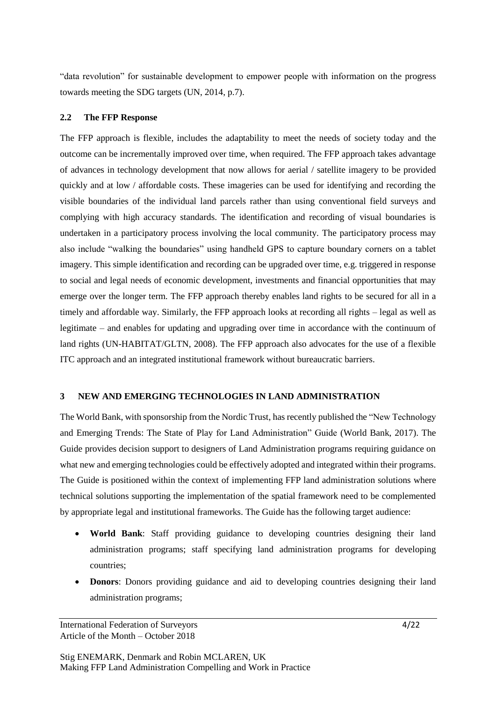"data revolution" for sustainable development to empower people with information on the progress towards meeting the SDG targets (UN, 2014, p.7).

## **2.2 The FFP Response**

The FFP approach is flexible, includes the adaptability to meet the needs of society today and the outcome can be incrementally improved over time, when required. The FFP approach takes advantage of advances in technology development that now allows for aerial / satellite imagery to be provided quickly and at low / affordable costs. These imageries can be used for identifying and recording the visible boundaries of the individual land parcels rather than using conventional field surveys and complying with high accuracy standards. The identification and recording of visual boundaries is undertaken in a participatory process involving the local community. The participatory process may also include "walking the boundaries" using handheld GPS to capture boundary corners on a tablet imagery. This simple identification and recording can be upgraded over time, e.g. triggered in response to social and legal needs of economic development, investments and financial opportunities that may emerge over the longer term. The FFP approach thereby enables land rights to be secured for all in a timely and affordable way. Similarly, the FFP approach looks at recording all rights – legal as well as legitimate – and enables for updating and upgrading over time in accordance with the continuum of land rights (UN-HABITAT/GLTN, 2008). The FFP approach also advocates for the use of a flexible ITC approach and an integrated institutional framework without bureaucratic barriers.

## **3 NEW AND EMERGING TECHNOLOGIES IN LAND ADMINISTRATION**

The World Bank, with sponsorship from the Nordic Trust, has recently published the "New Technology and Emerging Trends: The State of Play for Land Administration" Guide (World Bank, 2017). The Guide provides decision support to designers of Land Administration programs requiring guidance on what new and emerging technologies could be effectively adopted and integrated within their programs. The Guide is positioned within the context of implementing FFP land administration solutions where technical solutions supporting the implementation of the spatial framework need to be complemented by appropriate legal and institutional frameworks. The Guide has the following target audience:

- **World Bank**: Staff providing guidance to developing countries designing their land administration programs; staff specifying land administration programs for developing countries;
- **Donors**: Donors providing guidance and aid to developing countries designing their land administration programs;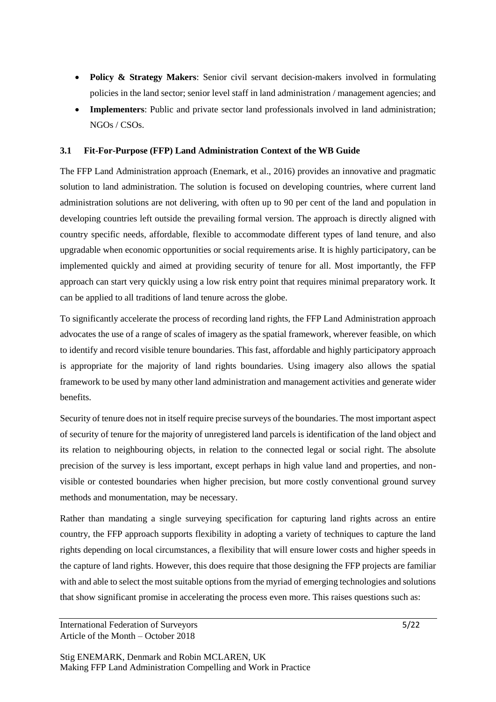- **Policy & Strategy Makers**: Senior civil servant decision-makers involved in formulating policies in the land sector; senior level staff in land administration / management agencies; and
- **Implementers**: Public and private sector land professionals involved in land administration; NGOs / CSOs.

## **3.1 Fit-For-Purpose (FFP) Land Administration Context of the WB Guide**

The FFP Land Administration approach (Enemark, et al., 2016) provides an innovative and pragmatic solution to land administration. The solution is focused on developing countries, where current land administration solutions are not delivering, with often up to 90 per cent of the land and population in developing countries left outside the prevailing formal version. The approach is directly aligned with country specific needs, affordable, flexible to accommodate different types of land tenure, and also upgradable when economic opportunities or social requirements arise. It is highly participatory, can be implemented quickly and aimed at providing security of tenure for all. Most importantly, the FFP approach can start very quickly using a low risk entry point that requires minimal preparatory work. It can be applied to all traditions of land tenure across the globe.

To significantly accelerate the process of recording land rights, the FFP Land Administration approach advocates the use of a range of scales of imagery as the spatial framework, wherever feasible, on which to identify and record visible tenure boundaries. This fast, affordable and highly participatory approach is appropriate for the majority of land rights boundaries. Using imagery also allows the spatial framework to be used by many other land administration and management activities and generate wider benefits.

Security of tenure does not in itself require precise surveys of the boundaries. The most important aspect of security of tenure for the majority of unregistered land parcels is identification of the land object and its relation to neighbouring objects, in relation to the connected legal or social right. The absolute precision of the survey is less important, except perhaps in high value land and properties, and nonvisible or contested boundaries when higher precision, but more costly conventional ground survey methods and monumentation, may be necessary.

Rather than mandating a single surveying specification for capturing land rights across an entire country, the FFP approach supports flexibility in adopting a variety of techniques to capture the land rights depending on local circumstances, a flexibility that will ensure lower costs and higher speeds in the capture of land rights. However, this does require that those designing the FFP projects are familiar with and able to select the most suitable options from the myriad of emerging technologies and solutions that show significant promise in accelerating the process even more. This raises questions such as: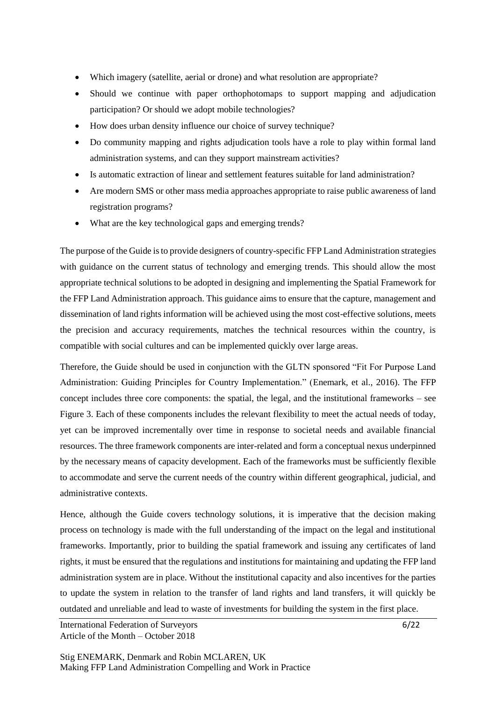- Which imagery (satellite, aerial or drone) and what resolution are appropriate?
- Should we continue with paper orthophotomaps to support mapping and adjudication participation? Or should we adopt mobile technologies?
- How does urban density influence our choice of survey technique?
- Do community mapping and rights adjudication tools have a role to play within formal land administration systems, and can they support mainstream activities?
- Is automatic extraction of linear and settlement features suitable for land administration?
- Are modern SMS or other mass media approaches appropriate to raise public awareness of land registration programs?
- What are the key technological gaps and emerging trends?

The purpose of the Guide is to provide designers of country-specific FFP Land Administration strategies with guidance on the current status of technology and emerging trends. This should allow the most appropriate technical solutions to be adopted in designing and implementing the Spatial Framework for the FFP Land Administration approach. This guidance aims to ensure that the capture, management and dissemination of land rights information will be achieved using the most cost-effective solutions, meets the precision and accuracy requirements, matches the technical resources within the country, is compatible with social cultures and can be implemented quickly over large areas.

Therefore, the Guide should be used in conjunction with the GLTN sponsored "Fit For Purpose Land Administration: Guiding Principles for Country Implementation." (Enemark, et al., 2016). The FFP concept includes three core components: the spatial, the legal, and the institutional frameworks – see Figure 3. Each of these components includes the relevant flexibility to meet the actual needs of today, yet can be improved incrementally over time in response to societal needs and available financial resources. The three framework components are inter-related and form a conceptual nexus underpinned by the necessary means of capacity development. Each of the frameworks must be sufficiently flexible to accommodate and serve the current needs of the country within different geographical, judicial, and administrative contexts.

Hence, although the Guide covers technology solutions, it is imperative that the decision making process on technology is made with the full understanding of the impact on the legal and institutional frameworks. Importantly, prior to building the spatial framework and issuing any certificates of land rights, it must be ensured that the regulations and institutions for maintaining and updating the FFP land administration system are in place. Without the institutional capacity and also incentives for the parties to update the system in relation to the transfer of land rights and land transfers, it will quickly be outdated and unreliable and lead to waste of investments for building the system in the first place.

International Federation of Surveyors 6/22 Article of the Month – October 2018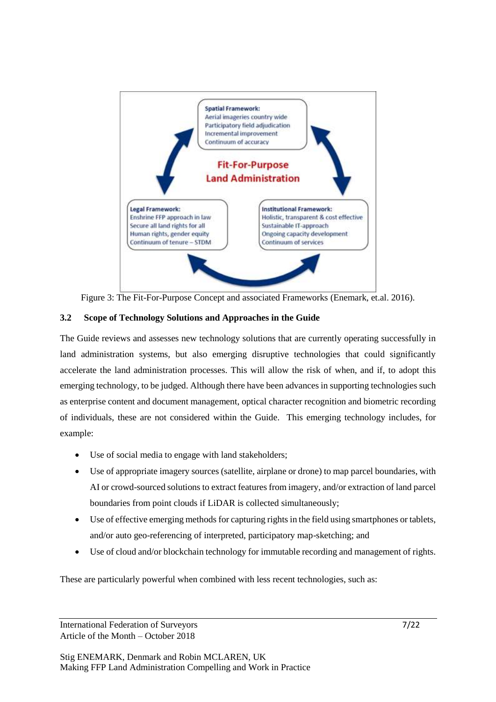

Figure 3: The Fit-For-Purpose Concept and associated Frameworks (Enemark, et.al. 2016).

## **3.2 Scope of Technology Solutions and Approaches in the Guide**

The Guide reviews and assesses new technology solutions that are currently operating successfully in land administration systems, but also emerging disruptive technologies that could significantly accelerate the land administration processes. This will allow the risk of when, and if, to adopt this emerging technology, to be judged. Although there have been advances in supporting technologies such as enterprise content and document management, optical character recognition and biometric recording of individuals, these are not considered within the Guide. This emerging technology includes, for example:

- Use of social media to engage with land stakeholders;
- Use of appropriate imagery sources (satellite, airplane or drone) to map parcel boundaries, with AI or crowd-sourced solutions to extract features from imagery, and/or extraction of land parcel boundaries from point clouds if LiDAR is collected simultaneously;
- Use of effective emerging methods for capturing rights in the field using smartphones or tablets, and/or auto geo-referencing of interpreted, participatory map-sketching; and
- Use of cloud and/or blockchain technology for immutable recording and management of rights.

These are particularly powerful when combined with less recent technologies, such as:

International Federation of Surveyors 7/22 Article of the Month – October 2018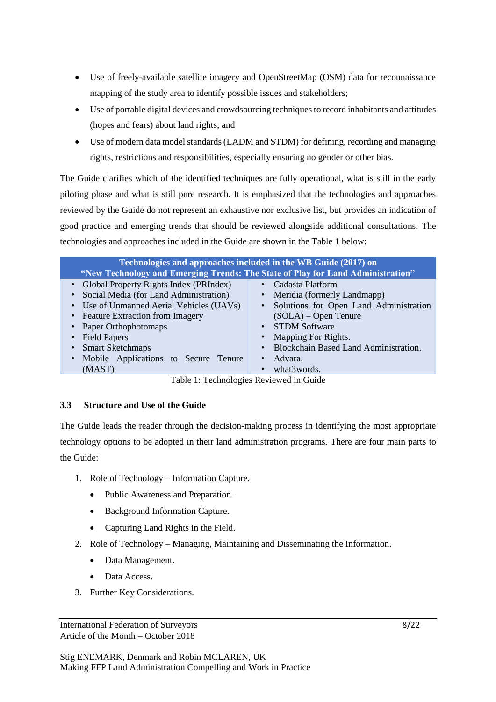- Use of freely-available satellite imagery and OpenStreetMap (OSM) data for reconnaissance mapping of the study area to identify possible issues and stakeholders;
- Use of portable digital devices and crowdsourcing techniques to record inhabitants and attitudes (hopes and fears) about land rights; and
- Use of modern data model standards (LADM and STDM) for defining, recording and managing rights, restrictions and responsibilities, especially ensuring no gender or other bias.

The Guide clarifies which of the identified techniques are fully operational, what is still in the early piloting phase and what is still pure research. It is emphasized that the technologies and approaches reviewed by the Guide do not represent an exhaustive nor exclusive list, but provides an indication of good practice and emerging trends that should be reviewed alongside additional consultations. The technologies and approaches included in the Guide are shown in the Table 1 below:

| Technologies and approaches included in the WB Guide (2017) on<br>"New Technology and Emerging Trends: The State of Play for Land Administration" |                                        |
|---------------------------------------------------------------------------------------------------------------------------------------------------|----------------------------------------|
| • Global Property Rights Index (PRIndex)                                                                                                          | Cadasta Platform                       |
| Social Media (for Land Administration)                                                                                                            | Meridia (formerly Landmapp)            |
| • Use of Unmanned Aerial Vehicles (UAVs)                                                                                                          | Solutions for Open Land Administration |
| • Feature Extraction from Imagery                                                                                                                 | $(SOLA)$ – Open Tenure                 |
| • Paper Orthophotomaps                                                                                                                            | <b>STDM Software</b>                   |
| • Field Papers                                                                                                                                    | Mapping For Rights.                    |
| <b>Smart Sketchmaps</b>                                                                                                                           | Blockchain Based Land Administration.  |
| • Mobile Applications to Secure Tenure                                                                                                            | Advara.                                |
| (MAST)                                                                                                                                            | what3words.                            |

Table 1: Technologies Reviewed in Guide

## **3.3 Structure and Use of the Guide**

The Guide leads the reader through the decision-making process in identifying the most appropriate technology options to be adopted in their land administration programs. There are four main parts to the Guide:

- 1. Role of Technology Information Capture.
	- Public Awareness and Preparation.
	- Background Information Capture.
	- Capturing Land Rights in the Field.
- 2. Role of Technology Managing, Maintaining and Disseminating the Information.
	- Data Management.
	- Data Access.
- 3. Further Key Considerations.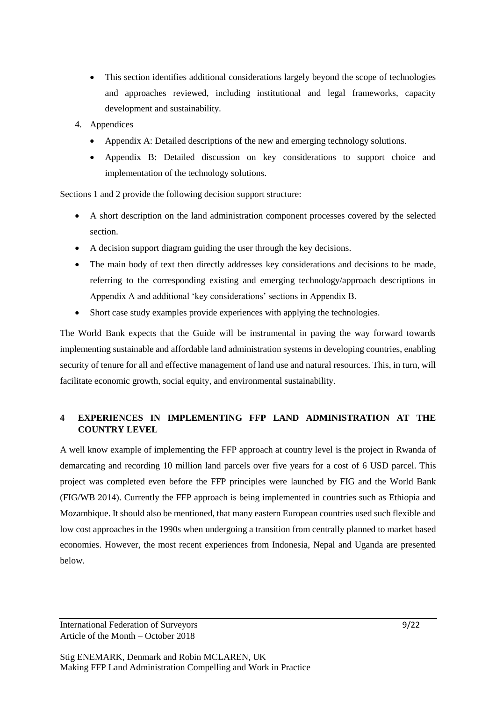- This section identifies additional considerations largely beyond the scope of technologies and approaches reviewed, including institutional and legal frameworks, capacity development and sustainability.
- 4. Appendices
	- Appendix A: Detailed descriptions of the new and emerging technology solutions.
	- Appendix B: Detailed discussion on key considerations to support choice and implementation of the technology solutions.

Sections 1 and 2 provide the following decision support structure:

- A short description on the land administration component processes covered by the selected section.
- A decision support diagram guiding the user through the key decisions.
- The main body of text then directly addresses key considerations and decisions to be made, referring to the corresponding existing and emerging technology/approach descriptions in Appendix A and additional 'key considerations' sections in Appendix B.
- Short case study examples provide experiences with applying the technologies.

The World Bank expects that the Guide will be instrumental in paving the way forward towards implementing sustainable and affordable land administration systems in developing countries, enabling security of tenure for all and effective management of land use and natural resources. This, in turn, will facilitate economic growth, social equity, and environmental sustainability.

# **4 EXPERIENCES IN IMPLEMENTING FFP LAND ADMINISTRATION AT THE COUNTRY LEVEL**

A well know example of implementing the FFP approach at country level is the project in Rwanda of demarcating and recording 10 million land parcels over five years for a cost of 6 USD parcel. This project was completed even before the FFP principles were launched by FIG and the World Bank (FIG/WB 2014). Currently the FFP approach is being implemented in countries such as Ethiopia and Mozambique. It should also be mentioned, that many eastern European countries used such flexible and low cost approaches in the 1990s when undergoing a transition from centrally planned to market based economies. However, the most recent experiences from Indonesia, Nepal and Uganda are presented below.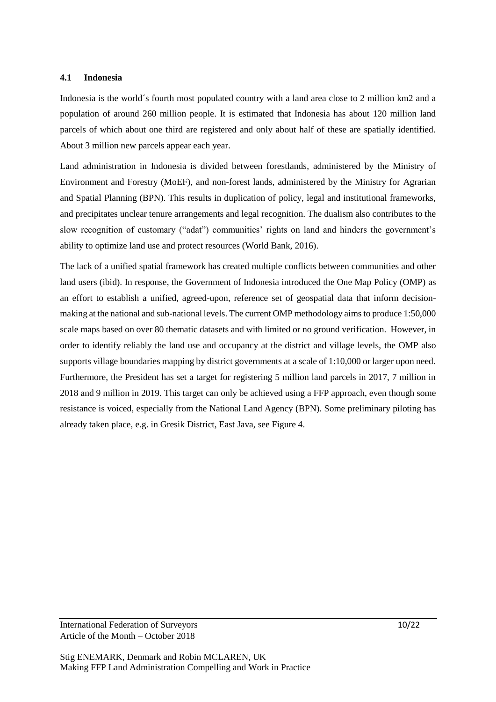### **4.1 Indonesia**

Indonesia is the world´s fourth most populated country with a land area close to 2 million km2 and a population of around 260 million people. It is estimated that Indonesia has about 120 million land parcels of which about one third are registered and only about half of these are spatially identified. About 3 million new parcels appear each year.

Land administration in Indonesia is divided between forestlands, administered by the Ministry of Environment and Forestry (MoEF), and non-forest lands, administered by the Ministry for Agrarian and Spatial Planning (BPN). This results in duplication of policy, legal and institutional frameworks, and precipitates unclear tenure arrangements and legal recognition. The dualism also contributes to the slow recognition of customary ("adat") communities' rights on land and hinders the government's ability to optimize land use and protect resources (World Bank, 2016).

The lack of a unified spatial framework has created multiple conflicts between communities and other land users (ibid). In response, the Government of Indonesia introduced the One Map Policy (OMP) as an effort to establish a unified, agreed-upon, reference set of geospatial data that inform decisionmaking at the national and sub-national levels. The current OMP methodology aims to produce 1:50,000 scale maps based on over 80 thematic datasets and with limited or no ground verification. However, in order to identify reliably the land use and occupancy at the district and village levels, the OMP also supports village boundaries mapping by district governments at a scale of 1:10,000 or larger upon need. Furthermore, the President has set a target for registering 5 million land parcels in 2017, 7 million in 2018 and 9 million in 2019. This target can only be achieved using a FFP approach, even though some resistance is voiced, especially from the National Land Agency (BPN). Some preliminary piloting has already taken place, e.g. in Gresik District, East Java, see Figure 4.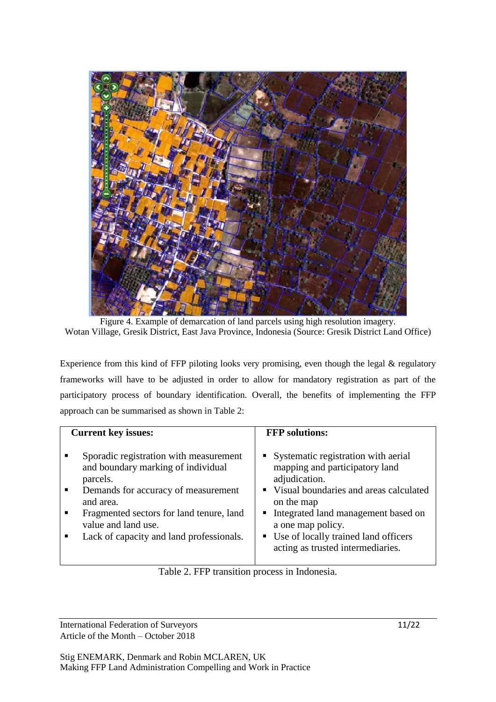

Figure 4. Example of demarcation of land parcels using high resolution imagery. Wotan Village, Gresik District, East Java Province, Indonesia (Source: Gresik District Land Office)

Experience from this kind of FFP piloting looks very promising, even though the legal & regulatory frameworks will have to be adjusted in order to allow for mandatory registration as part of the participatory process of boundary identification. Overall, the benefits of implementing the FFP approach can be summarised as shown in Table 2:

| <b>Current key issues:</b>                                                                                                                                                                                                                                                         | <b>FFP</b> solutions:                                                                                                                                                                                                                                                                         |
|------------------------------------------------------------------------------------------------------------------------------------------------------------------------------------------------------------------------------------------------------------------------------------|-----------------------------------------------------------------------------------------------------------------------------------------------------------------------------------------------------------------------------------------------------------------------------------------------|
| Sporadic registration with measurement<br>п<br>and boundary marking of individual<br>parcels.<br>Demands for accuracy of measurement<br>$\blacksquare$<br>and area.<br>Fragmented sectors for land tenure, land<br>value and land use.<br>Lack of capacity and land professionals. | Systematic registration with aerial<br>mapping and participatory land<br>adjudication.<br>• Visual boundaries and areas calculated<br>on the map<br>• Integrated land management based on<br>a one map policy.<br>• Use of locally trained land officers<br>acting as trusted intermediaries. |

Table 2. FFP transition process in Indonesia.

International Federation of Surveyors 11/22 Article of the Month – October 2018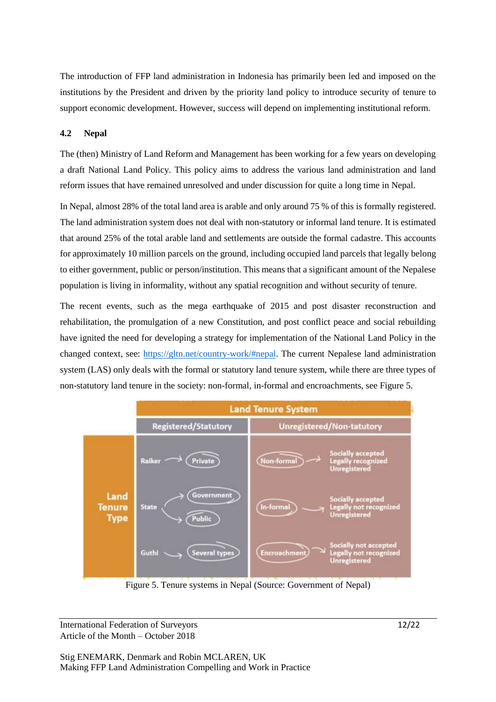The introduction of FFP land administration in Indonesia has primarily been led and imposed on the institutions by the President and driven by the priority land policy to introduce security of tenure to support economic development. However, success will depend on implementing institutional reform.

## **4.2 Nepal**

The (then) Ministry of Land Reform and Management has been working for a few years on developing a draft National Land Policy. This policy aims to address the various land administration and land reform issues that have remained unresolved and under discussion for quite a long time in Nepal.

In Nepal, almost 28% of the total land area is arable and only around 75 % of this is formally registered. The land administration system does not deal with non-statutory or informal land tenure. It is estimated that around 25% of the total arable land and settlements are outside the formal cadastre. This accounts for approximately 10 million parcels on the ground, including occupied land parcels that legally belong to either government, public or person/institution. This means that a significant amount of the Nepalese population is living in informality, without any spatial recognition and without security of tenure.

The recent events, such as the mega earthquake of 2015 and post disaster reconstruction and rehabilitation, the promulgation of a new Constitution, and post conflict peace and social rebuilding have ignited the need for developing a strategy for implementation of the National Land Policy in the changed context, see: [https://gltn.net/country-work/#nepal.](https://gltn.net/country-work/#nepal) The current Nepalese land administration system (LAS) only deals with the formal or statutory land tenure system, while there are three types of non-statutory land tenure in the society: non-formal, in-formal and encroachments, see Figure 5.



Figure 5. Tenure systems in Nepal (Source: Government of Nepal)

International Federation of Surveyors 12/22 Article of the Month – October 2018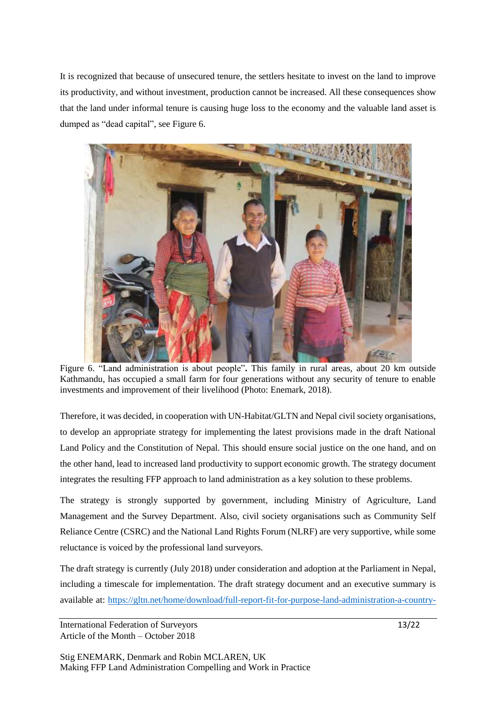It is recognized that because of unsecured tenure, the settlers hesitate to invest on the land to improve its productivity, and without investment, production cannot be increased. All these consequences show that the land under informal tenure is causing huge loss to the economy and the valuable land asset is dumped as "dead capital", see Figure 6.



Figure 6. "Land administration is about people"**.** This family in rural areas, about 20 km outside Kathmandu, has occupied a small farm for four generations without any security of tenure to enable investments and improvement of their livelihood (Photo: Enemark, 2018).

Therefore, it was decided, in cooperation with UN-Habitat/GLTN and Nepal civil society organisations, to develop an appropriate strategy for implementing the latest provisions made in the draft National Land Policy and the Constitution of Nepal. This should ensure social justice on the one hand, and on the other hand, lead to increased land productivity to support economic growth. The strategy document integrates the resulting FFP approach to land administration as a key solution to these problems.

The strategy is strongly supported by government, including Ministry of Agriculture, Land Management and the Survey Department. Also, civil society organisations such as Community Self Reliance Centre (CSRC) and the National Land Rights Forum (NLRF) are very supportive, while some reluctance is voiced by the professional land surveyors.

The draft strategy is currently (July 2018) under consideration and adoption at the Parliament in Nepal, including a timescale for implementation. The draft strategy document and an executive summary is available at: [https://gltn.net/home/download/full-report-fit-for-purpose-land-administration-a-country-](https://gltn.net/home/download/full-report-fit-for-purpose-land-administration-a-country-level-implementation-strategy-for-nepal/)

International Federation of Surveyors 13/22 Article of the Month – October 2018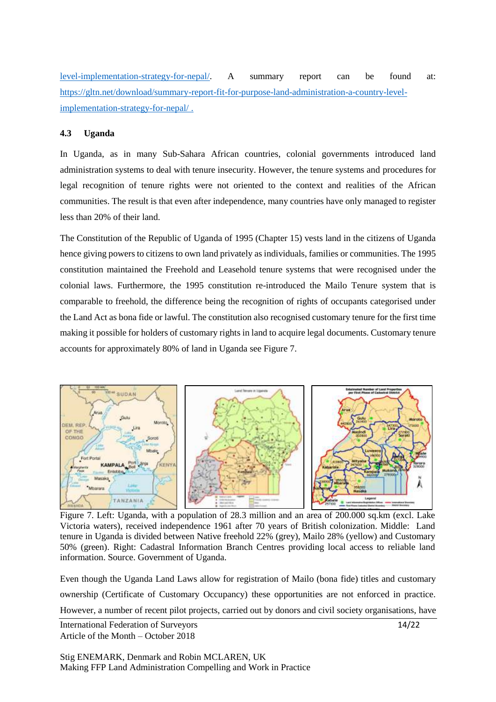[level-implementation-strategy-for-nepal/.](https://gltn.net/home/download/full-report-fit-for-purpose-land-administration-a-country-level-implementation-strategy-for-nepal/) A summary report can be found at: [https://gltn.net/download/summary-report-fit-for-purpose-land-administration-a-country-level](https://gltn.net/download/summary-report-fit-for-purpose-land-administration-a-country-level-implementation-strategy-for-nepal/)[implementation-strategy-for-nepal/](https://gltn.net/download/summary-report-fit-for-purpose-land-administration-a-country-level-implementation-strategy-for-nepal/) .

### **4.3 Uganda**

In Uganda, as in many Sub-Sahara African countries, colonial governments introduced land administration systems to deal with tenure insecurity. However, the tenure systems and procedures for legal recognition of tenure rights were not oriented to the context and realities of the African communities. The result is that even after independence, many countries have only managed to register less than 20% of their land.

The Constitution of the Republic of Uganda of 1995 (Chapter 15) vests land in the citizens of Uganda hence giving powers to citizens to own land privately as individuals, families or communities. The 1995 constitution maintained the Freehold and Leasehold tenure systems that were recognised under the colonial laws. Furthermore, the 1995 constitution re-introduced the Mailo Tenure system that is comparable to freehold, the difference being the recognition of rights of occupants categorised under the Land Act as bona fide or lawful. The constitution also recognised customary tenure for the first time making it possible for holders of customary rights in land to acquire legal documents. Customary tenure accounts for approximately 80% of land in Uganda see Figure 7.



Figure 7. Left: Uganda, with a population of 28.3 million and an area of 200.000 sq.km (excl. Lake Victoria waters), received independence 1961 after 70 years of British colonization. Middle: Land tenure in Uganda is divided between Native freehold 22% (grey), Mailo 28% (yellow) and Customary 50% (green). Right: Cadastral Information Branch Centres providing local access to reliable land information. Source. Government of Uganda.

International Federation of Surveyors 14/22 Even though the Uganda Land Laws allow for registration of Mailo (bona fide) titles and customary ownership (Certificate of Customary Occupancy) these opportunities are not enforced in practice. However, a number of recent pilot projects, carried out by donors and civil society organisations, have

Article of the Month – October 2018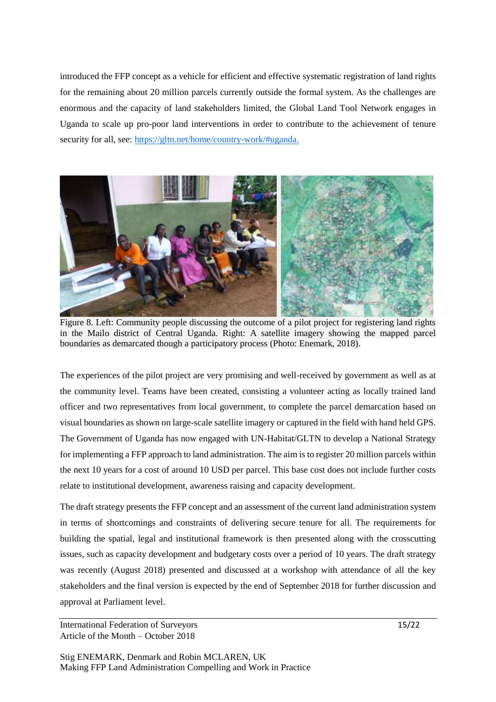introduced the FFP concept as a vehicle for efficient and effective systematic registration of land rights for the remaining about 20 million parcels currently outside the formal system. As the challenges are enormous and the capacity of land stakeholders limited, the Global Land Tool Network engages in Uganda to scale up pro-poor land interventions in order to contribute to the achievement of tenure security for all, see: [https://gltn.net/home/country-work/#uganda.](https://gltn.net/home/country-work/#uganda)



Figure 8. Left: Community people discussing the outcome of a pilot project for registering land rights in the Mailo district of Central Uganda. Right: A satellite imagery showing the mapped parcel boundaries as demarcated though a participatory process (Photo: Enemark, 2018).

The experiences of the pilot project are very promising and well-received by government as well as at the community level. Teams have been created, consisting a volunteer acting as locally trained land officer and two representatives from local government, to complete the parcel demarcation based on visual boundaries as shown on large-scale satellite imagery or captured in the field with hand held GPS. The Government of Uganda has now engaged with UN-Habitat/GLTN to develop a National Strategy for implementing a FFP approach to land administration. The aim is to register 20 million parcels within the next 10 years for a cost of around 10 USD per parcel. This base cost does not include further costs relate to institutional development, awareness raising and capacity development.

The draft strategy presents the FFP concept and an assessment of the current land administration system in terms of shortcomings and constraints of delivering secure tenure for all. The requirements for building the spatial, legal and institutional framework is then presented along with the crosscutting issues, such as capacity development and budgetary costs over a period of 10 years. The draft strategy was recently (August 2018) presented and discussed at a workshop with attendance of all the key stakeholders and the final version is expected by the end of September 2018 for further discussion and approval at Parliament level.

International Federation of Surveyors 15/22 Article of the Month – October 2018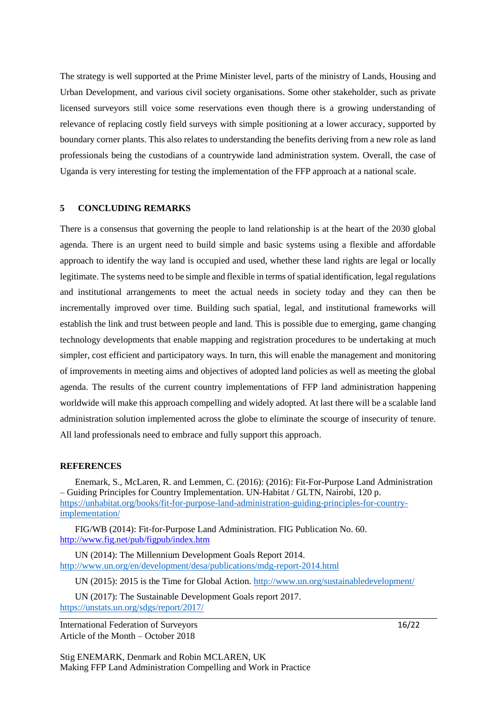The strategy is well supported at the Prime Minister level, parts of the ministry of Lands, Housing and Urban Development, and various civil society organisations. Some other stakeholder, such as private licensed surveyors still voice some reservations even though there is a growing understanding of relevance of replacing costly field surveys with simple positioning at a lower accuracy, supported by boundary corner plants. This also relates to understanding the benefits deriving from a new role as land professionals being the custodians of a countrywide land administration system. Overall, the case of Uganda is very interesting for testing the implementation of the FFP approach at a national scale.

#### **5 CONCLUDING REMARKS**

There is a consensus that governing the people to land relationship is at the heart of the 2030 global agenda. There is an urgent need to build simple and basic systems using a flexible and affordable approach to identify the way land is occupied and used, whether these land rights are legal or locally legitimate. The systems need to be simple and flexible in terms of spatial identification, legal regulations and institutional arrangements to meet the actual needs in society today and they can then be incrementally improved over time. Building such spatial, legal, and institutional frameworks will establish the link and trust between people and land. This is possible due to emerging, game changing technology developments that enable mapping and registration procedures to be undertaking at much simpler, cost efficient and participatory ways. In turn, this will enable the management and monitoring of improvements in meeting aims and objectives of adopted land policies as well as meeting the global agenda. The results of the current country implementations of FFP land administration happening worldwide will make this approach compelling and widely adopted. At last there will be a scalable land administration solution implemented across the globe to eliminate the scourge of insecurity of tenure. All land professionals need to embrace and fully support this approach.

#### **REFERENCES**

Enemark, S., McLaren, R. and Lemmen, C. (2016): (2016): Fit-For-Purpose Land Administration – Guiding Principles for Country Implementation. UN-Habitat / GLTN, Nairobi, 120 p. [https://unhabitat.org/books/fit-for-purpose-land-administration-guiding-principles-for-country](https://unhabitat.org/books/fit-for-purpose-land-administration-guiding-principles-for-country-implementation/)[implementation/](https://unhabitat.org/books/fit-for-purpose-land-administration-guiding-principles-for-country-implementation/)

FIG/WB (2014): Fit-for-Purpose Land Administration. FIG Publication No. 60. <http://www.fig.net/pub/figpub/index.htm>

UN (2014): The Millennium Development Goals Report 2014. <http://www.un.org/en/development/desa/publications/mdg-report-2014.html>

UN (2015): 2015 is the Time for Global Action.<http://www.un.org/sustainabledevelopment/>

UN (2017): The Sustainable Development Goals report 2017. <https://unstats.un.org/sdgs/report/2017/>

International Federation of Surveyors 16/22 Article of the Month – October 2018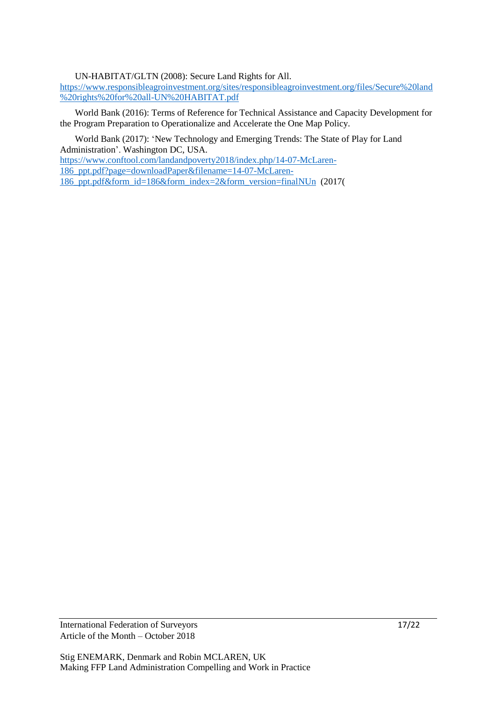UN-HABITAT/GLTN (2008): Secure Land Rights for All.

[https://www.responsibleagroinvestment.org/sites/responsibleagroinvestment.org/files/Secure%20land](https://www.responsibleagroinvestment.org/sites/responsibleagroinvestment.org/files/Secure%20land%20rights%20for%20all-UN%20HABITAT.pdf) [%20rights%20for%20all-UN%20HABITAT.pdf](https://www.responsibleagroinvestment.org/sites/responsibleagroinvestment.org/files/Secure%20land%20rights%20for%20all-UN%20HABITAT.pdf)

World Bank (2016): Terms of Reference for Technical Assistance and Capacity Development for the Program Preparation to Operationalize and Accelerate the One Map Policy.

World Bank (2017): 'New Technology and Emerging Trends: The State of Play for Land Administration'. Washington DC, USA.

[https://www.conftool.com/landandpoverty2018/index.php/14-07-McLaren-](https://www.conftool.com/landandpoverty2018/index.php/14-07-McLaren-186_ppt.pdf?page=downloadPaper&filename=14-07-McLaren-186_ppt.pdf&form_id=186&form_index=2&form_version=finalNUn)[186\\_ppt.pdf?page=downloadPaper&filename=14-07-McLaren-](https://www.conftool.com/landandpoverty2018/index.php/14-07-McLaren-186_ppt.pdf?page=downloadPaper&filename=14-07-McLaren-186_ppt.pdf&form_id=186&form_index=2&form_version=finalNUn)[186\\_ppt.pdf&form\\_id=186&form\\_index=2&form\\_version=finalNUn](https://www.conftool.com/landandpoverty2018/index.php/14-07-McLaren-186_ppt.pdf?page=downloadPaper&filename=14-07-McLaren-186_ppt.pdf&form_id=186&form_index=2&form_version=finalNUn) (2017(